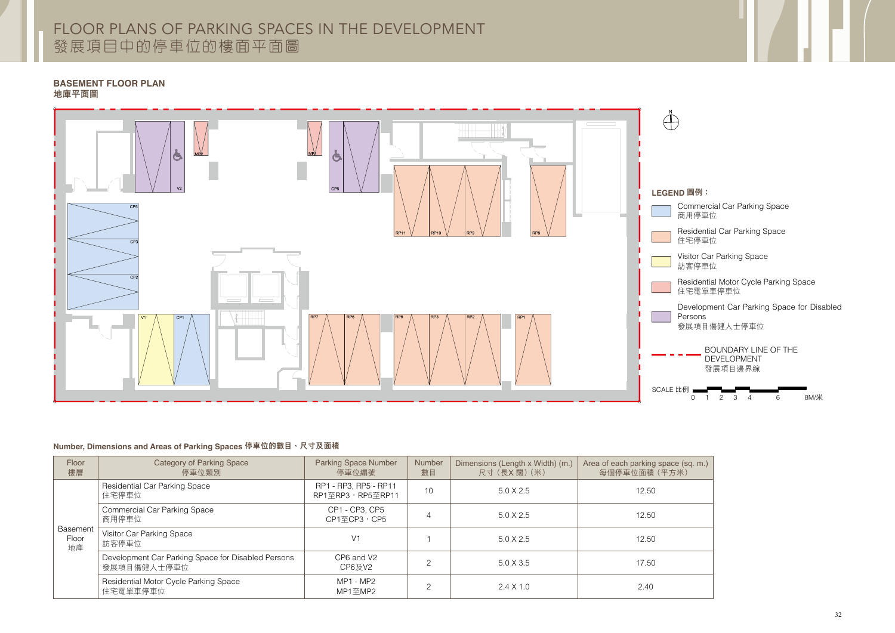## FLOOR PLANS OF PARKING SPACES IN THE DEVELOPMENT 發展項目中的停車位的樓面平面圖





| Floor<br>樓層                    | Category of Parking Space<br>停車位類別                                | <b>Parking Space Number</b><br>停車位編號            | Number<br>數目 | Dimensions (Length x Width) (m.)<br>尺寸 (長X闊) (米) | Area of each parking spac<br>每個停車位面積 (平方 |
|--------------------------------|-------------------------------------------------------------------|-------------------------------------------------|--------------|--------------------------------------------------|------------------------------------------|
| <b>Basement</b><br>Floor<br>地庫 | <b>Residential Car Parking Space</b><br>住宅停車位                     | RP1 - RP3, RP5 - RP11<br>RP1至RP3, RP5至RP11      | 10           | $5.0 \times 2.5$                                 | 12.50                                    |
|                                | <b>Commercial Car Parking Space</b><br>商用停車位                      | CP1 - CP3, CP5<br>CP1至CP3,CP5                   | 4            | $5.0 \times 2.5$                                 | 12.50                                    |
|                                | Visitor Car Parking Space<br>訪客停車位                                | V <sub>1</sub>                                  |              | $5.0 \times 2.5$                                 | 12.50                                    |
|                                | Development Car Parking Space for Disabled Persons<br>發展項目傷健人士停車位 | CP6 and V2<br>CP6及V2                            | ⌒            | $5.0 \times 3.5$                                 | 17.50                                    |
|                                | Residential Motor Cycle Parking Space<br>住宅電單車停車位                 | MP1 - MP2<br>$MP1 \underline{\mathfrak{D}} MP2$ | ⌒            | $2.4 \times 1.0$                                 | 2.40                                     |

### **BASEMENT FLOOR PLAN** 地庫平面圖

- 
- 
- 
- 
- Development Car Parking Space for Disabled

## **Number, Dimensions and Areas of Parking Spaces** 停車位的數目、尺寸及面積